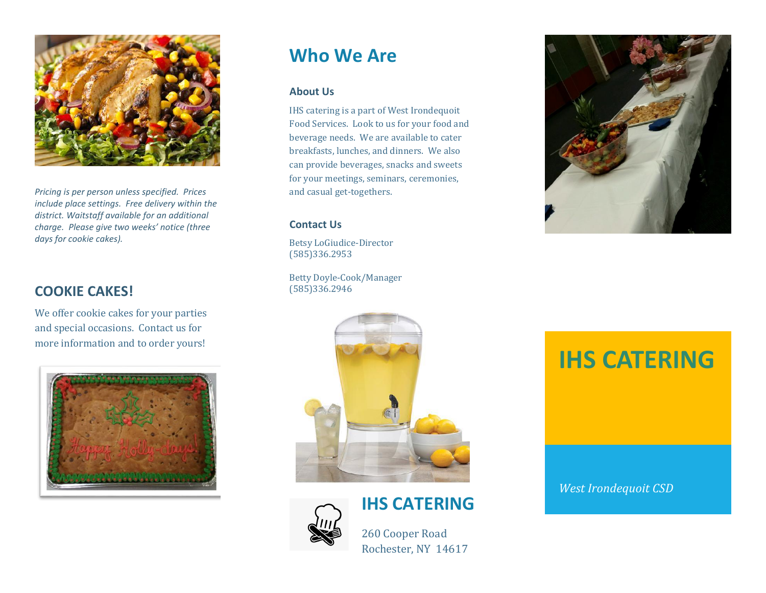

*Pricing is per person unless specified. Prices include place settings. Free delivery within the district. Waitstaff available for an additional charge. Please give two weeks' notice (three days for cookie cakes).*

## **COOKIE CAKES!**

We offer cookie cakes for your parties and special occasions. Contact us for more information and to order yours!



# **Who We Are**

#### **About Us**

IHS catering is a part of West Irondequoit Food Services. Look to us for your food and beverage needs. We are available to cater breakfasts, lunches, and dinners. We also can provide beverages, snacks and sweets for your meetings, seminars, ceremonies, and casual get-togethers.

#### **Contact Us**

Betsy LoGiudice-Director (585)336.2953

Betty Doyle-Cook/Manager (585)336.2946



## **IHS CATERING**



260 Cooper Road

Rochester, NY 14617



# **IHS CATERING**

*West Irondequoit CSD*